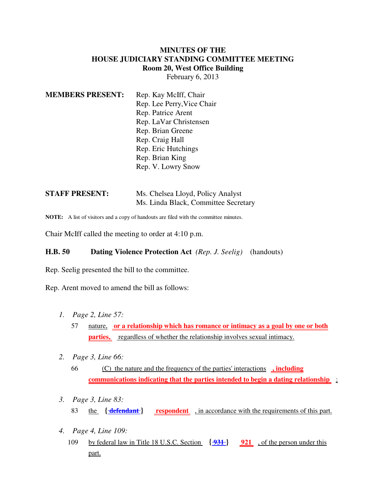## **MINUTES OF THE HOUSE JUDICIARY STANDING COMMITTEE MEETING Room 20, West Office Building** February 6, 2013

| <b>MEMBERS PRESENT:</b> | Rep. Kay McIff, Chair      |
|-------------------------|----------------------------|
|                         | Rep. Lee Perry, Vice Chair |
|                         | Rep. Patrice Arent         |
|                         | Rep. LaVar Christensen     |
|                         | Rep. Brian Greene          |
|                         | Rep. Craig Hall            |
|                         | Rep. Eric Hutchings        |
|                         | Rep. Brian King            |
|                         | Rep. V. Lowry Snow         |
|                         |                            |

| <b>STAFF PRESENT:</b> | Ms. Chelsea Lloyd, Policy Analyst    |
|-----------------------|--------------------------------------|
|                       | Ms. Linda Black, Committee Secretary |

**NOTE:** A list of visitors and a copy of handouts are filed with the committee minutes.

Chair McIff called the meeting to order at 4:10 p.m.

## **H.B. 50 Dating Violence Protection Act** *(Rep. J. Seelig)* (handouts)

Rep. Seelig presented the bill to the committee.

Rep. Arent moved to amend the bill as follows:

- *1. Page 2, Line 57:*
	- 57 nature, **or a relationship which has romance or intimacy as a goal by one or both parties,** regardless of whether the relationship involves sexual intimacy.
- *2. Page 3, Line 66:*
	- 66 (C) the nature and the frequency of the parties' interactions **, including communications indicating that the parties intended to begin a dating relationship** ;
- *3. Page 3, Line 83:* 83 the **{ defendant } respondent** , in accordance with the requirements of this part.
- *4. Page 4, Line 109:*
	- 109 by federal law in Title 18 U.S.C. Section **{ 931 } 921** , of the person under this part.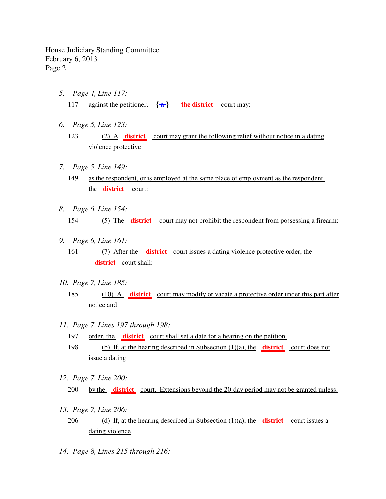- *5. Page 4, Line 117:* 117 against the petitioner,  $\{\hat{\mathbf{a}}\}$  the district court may:
- *6. Page 5, Line 123:*
	- 123 (2) A **district** court may grant the following relief without notice in a dating violence protective
- *7. Page 5, Line 149:*
	- 149 as the respondent, or is employed at the same place of employment as the respondent, the **district** court:
- *8. Page 6, Line 154:* 154 (5) The **district** court may not prohibit the respondent from possessing a firearm:
- *9. Page 6, Line 161:*
	- 161 (7) After the **district** court issues a dating violence protective order, the **district** court shall:
- *10. Page 7, Line 185:*
	- 185 (10) A **district** court may modify or vacate a protective order under this part after notice and
- *11. Page 7, Lines 197 through 198:*
	- 197 order, the **district** court shall set a date for a hearing on the petition.
	- 198 (b) If, at the hearing described in Subsection (1)(a), the **district** court does not issue a dating
- *12. Page 7, Line 200:*
	- 200 by the **district** court. Extensions beyond the 20-day period may not be granted unless:
- *13. Page 7, Line 206:*
	- 206 (d) If, at the hearing described in Subsection (1)(a), the **district** court issues a dating violence
- *14. Page 8, Lines 215 through 216:*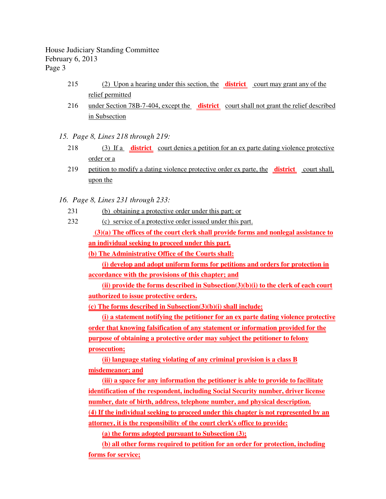- 215 (2) Upon a hearing under this section, the **district** court may grant any of the relief permitted
- 216 under Section 78B-7-404, except the **district** court shall not grant the relief described in Subsection
- *15. Page 8, Lines 218 through 219:*
	- 218 (3) If a **district** court denies a petition for an ex parte dating violence protective order or a
	- 219 petition to modify a dating violence protective order ex parte, the **district** court shall, upon the
- *16. Page 8, Lines 231 through 233:*
	- 231 (b) obtaining a protective order under this part; or
	- 232 (c) service of a protective order issued under this part.

 **(3)(a) The offices of the court clerk shall provide forms and nonlegal assistance to an individual seeking to proceed under this part.**

**(b) The Administrative Office of the Courts shall:**

**(i) develop and adopt uniform forms for petitions and orders for protection in accordance with the provisions of this chapter; and**

**(ii) provide the forms described in Subsection(3)(b)(i) to the clerk of each court authorized to issue protective orders.**

**(c) The forms described in Subsection(3)(b)(i) shall include:**

**(i) a statement notifying the petitioner for an ex parte dating violence protective order that knowing falsification of any statement or information provided for the purpose of obtaining a protective order may subject the petitioner to felony prosecution;**

**(ii) language stating violating of any criminal provision is a class B misdemeanor; and**

**(iii) a space for any information the petitioner is able to provide to facilitate identification of the respondent, including Social Security number, driver license number, date of birth, address, telephone number, and physical description. (4) If the individual seeking to proceed under this chapter is not represented by an attorney, it is the responsibility of the court clerk's office to provide:**

**(a) the forms adopted pursuant to Subsection (3);**

**(b) all other forms required to petition for an order for protection, including forms for service;**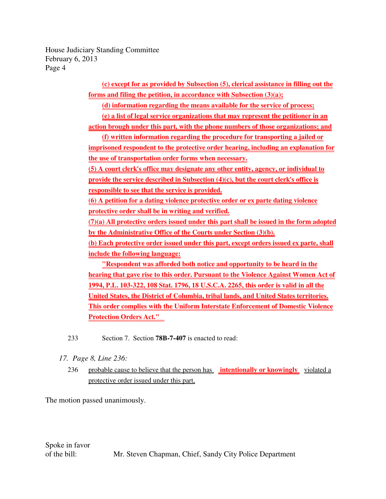> **(c) except for as provided by Subsection (5), clerical assistance in filling out the forms and filing the petition, in accordance with Subsection (3)(a);**

**(d) information regarding the means available for the service of process;**

**(e) a list of legal service organizations that may represent the petitioner in an**

**action brough under this part, with the phone numbers of those organizations; and**

**(f) written information regarding the procedure for transporting a jailed or imprisoned respondent to the protective order hearing, including an explanation for the use of transportation order forms when necessary.**

**(5) A court clerk's office may designate any other entity, agency, or individual to provide the service described in Subsection (4)(c), but the court clerk's office is responsible to see that the service is provided.**

**(6) A petition for a dating violence protective order or ex parte dating violence protective order shall be in writing and verified.**

**(7)(a) All protective orders issued under this part shall be issued in the form adopted by the Administrative Office of the Courts under Section (3)(b).**

**(b) Each protective order issued under this part, except orders issued ex parte, shall include the following language:**

**"Respondent was afforded both notice and opportunity to be heard in the hearing that gave rise to this order. Pursuant to the Violence Against Women Act of 1994, P.L. 103-322, 108 Stat. 1796, 18 U.S.C.A. 2265, this order is valid in all the United States, the District of Columbia, tribal lands, and United States territories. This order complies with the Uniform Interstate Enforcement of Domestic Violence Protection Orders Act."** 

233 Section 7. Section **78B-7-407** is enacted to read:

- *17. Page 8, Line 236:*
	- 236 probable cause to believe that the person has **intentionally or knowingly** violated a protective order issued under this part,

The motion passed unanimously.

Spoke in favor of the bill: Mr. Steven Chapman, Chief, Sandy City Police Department